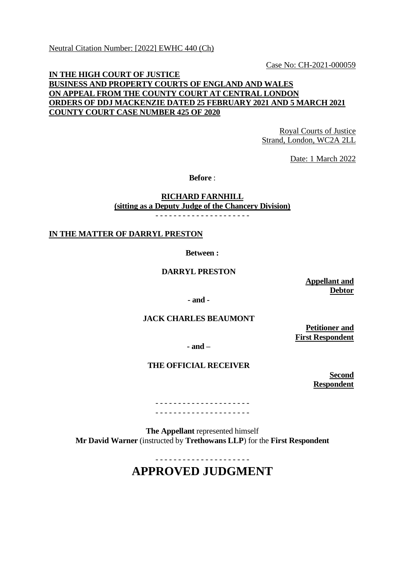Neutral Citation Number: [2022] EWHC 440 (Ch)

Case No: CH-2021-000059

## **IN THE HIGH COURT OF JUSTICE BUSINESS AND PROPERTY COURTS OF ENGLAND AND WALES ON APPEAL FROM THE COUNTY COURT AT CENTRAL LONDON ORDERS OF DDJ MACKENZIE DATED 25 FEBRUARY 2021 AND 5 MARCH 2021 COUNTY COURT CASE NUMBER 425 OF 2020**

Royal Courts of Justice Strand, London, WC2A 2LL

Date: 1 March 2022

**Before** :

**RICHARD FARNHILL (sitting as a Deputy Judge of the Chancery Division)**

- - - - - - - - - - - - - - - - - - - - -

**IN THE MATTER OF DARRYL PRESTON**

**Between :**

**DARRYL PRESTON**

**Appellant and Debtor**

**- and -**

## **JACK CHARLES BEAUMONT**

**Petitioner and First Respondent**

**- and –**

## **THE OFFICIAL RECEIVER**

**Second Respondent**

- - - - - - - - - - - - - - - - - - - - - - - - - - - - - - - - - - - - - - - - - -

**The Appellant** represented himself **Mr David Warner** (instructed by **Trethowans LLP**) for the **First Respondent**

> - - - - - - - - - - - - - - - - - - - - - **APPROVED JUDGMENT**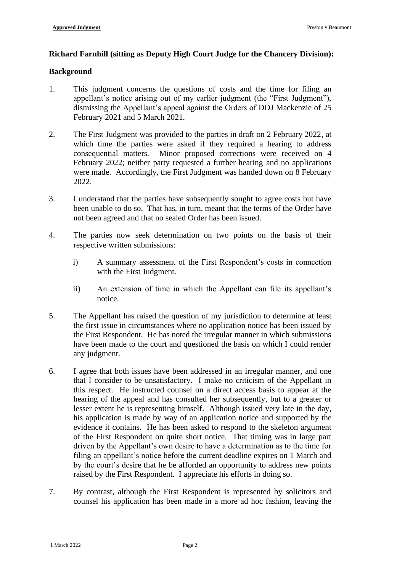## **Richard Farnhill (sitting as Deputy High Court Judge for the Chancery Division):**

#### **Background**

- 1. This judgment concerns the questions of costs and the time for filing an appellant's notice arising out of my earlier judgment (the "First Judgment"), dismissing the Appellant's appeal against the Orders of DDJ Mackenzie of 25 February 2021 and 5 March 2021.
- 2. The First Judgment was provided to the parties in draft on 2 February 2022, at which time the parties were asked if they required a hearing to address consequential matters. Minor proposed corrections were received on 4 February 2022; neither party requested a further hearing and no applications were made. Accordingly, the First Judgment was handed down on 8 February 2022.
- 3. I understand that the parties have subsequently sought to agree costs but have been unable to do so. That has, in turn, meant that the terms of the Order have not been agreed and that no sealed Order has been issued.
- 4. The parties now seek determination on two points on the basis of their respective written submissions:
	- i) A summary assessment of the First Respondent's costs in connection with the First Judgment.
	- ii) An extension of time in which the Appellant can file its appellant's notice.
- 5. The Appellant has raised the question of my jurisdiction to determine at least the first issue in circumstances where no application notice has been issued by the First Respondent. He has noted the irregular manner in which submissions have been made to the court and questioned the basis on which I could render any judgment.
- 6. I agree that both issues have been addressed in an irregular manner, and one that I consider to be unsatisfactory. I make no criticism of the Appellant in this respect. He instructed counsel on a direct access basis to appear at the hearing of the appeal and has consulted her subsequently, but to a greater or lesser extent he is representing himself. Although issued very late in the day, his application is made by way of an application notice and supported by the evidence it contains. He has been asked to respond to the skeleton argument of the First Respondent on quite short notice. That timing was in large part driven by the Appellant's own desire to have a determination as to the time for filing an appellant's notice before the current deadline expires on 1 March and by the court's desire that he be afforded an opportunity to address new points raised by the First Respondent. I appreciate his efforts in doing so.
- 7. By contrast, although the First Respondent is represented by solicitors and counsel his application has been made in a more ad hoc fashion, leaving the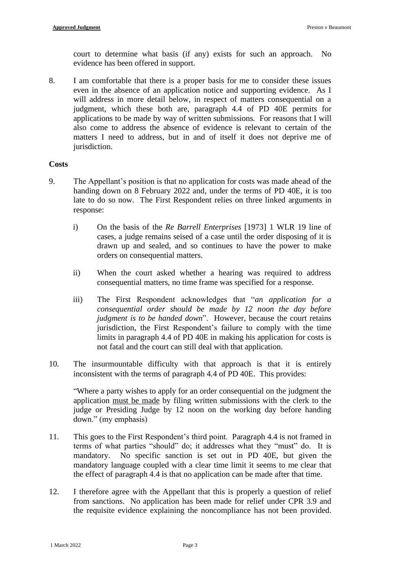court to determine what basis (if any) exists for such an approach. No evidence has been offered in support.

8. I am comfortable that there is a proper basis for me to consider these issues even in the absence of an application notice and supporting evidence. As I will address in more detail below, in respect of matters consequential on a judgment, which these both are, paragraph 4.4 of PD 40E permits for applications to be made by way of written submissions. For reasons that I will also come to address the absence of evidence is relevant to certain of the matters I need to address, but in and of itself it does not deprive me of jurisdiction.

#### **Costs**

- 9. The Appellant's position is that no application for costs was made ahead of the handing down on 8 February 2022 and, under the terms of PD 40E, it is too late to do so now. The First Respondent relies on three linked arguments in response:
	- i) On the basis of the *Re Barrell Enterprises* [1973] 1 WLR 19 line of cases, a judge remains seised of a case until the order disposing of it is drawn up and sealed, and so continues to have the power to make orders on consequential matters.
	- ii) When the court asked whether a hearing was required to address consequential matters, no time frame was specified for a response.
	- iii) The First Respondent acknowledges that "*an application for a consequential order should be made by 12 noon the day before judgment is to be handed down*". However, because the court retains jurisdiction, the First Respondent's failure to comply with the time limits in paragraph 4.4 of PD 40E in making his application for costs is not fatal and the court can still deal with that application.
- 10. The insurmountable difficulty with that approach is that it is entirely inconsistent with the terms of paragraph 4.4 of PD 40E. This provides:

"Where a party wishes to apply for an order consequential on the judgment the application must be made by filing written submissions with the clerk to the judge or Presiding Judge by 12 noon on the working day before handing down." (my emphasis)

- 11. This goes to the First Respondent's third point. Paragraph 4.4 is not framed in terms of what parties "should" do; it addresses what they "must" do. It is mandatory. No specific sanction is set out in PD 40E, but given the mandatory language coupled with a clear time limit it seems to me clear that the effect of paragraph 4.4 is that no application can be made after that time.
- 12. I therefore agree with the Appellant that this is properly a question of relief from sanctions. No application has been made for relief under CPR 3.9 and the requisite evidence explaining the noncompliance has not been provided.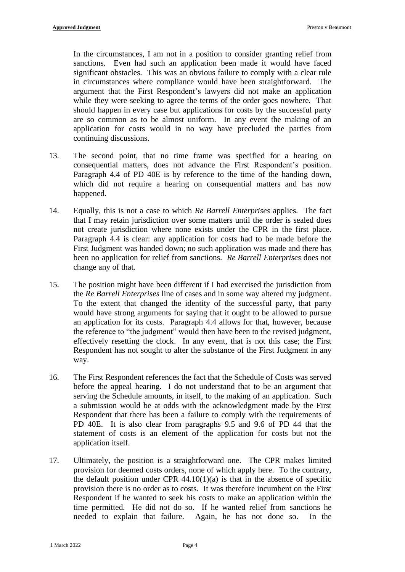In the circumstances, I am not in a position to consider granting relief from sanctions. Even had such an application been made it would have faced significant obstacles. This was an obvious failure to comply with a clear rule in circumstances where compliance would have been straightforward. The argument that the First Respondent's lawyers did not make an application while they were seeking to agree the terms of the order goes nowhere. That should happen in every case but applications for costs by the successful party are so common as to be almost uniform. In any event the making of an application for costs would in no way have precluded the parties from continuing discussions.

- 13. The second point, that no time frame was specified for a hearing on consequential matters, does not advance the First Respondent's position. Paragraph 4.4 of PD 40E is by reference to the time of the handing down, which did not require a hearing on consequential matters and has now happened.
- 14. Equally, this is not a case to which *Re Barrell Enterprises* applies. The fact that I may retain jurisdiction over some matters until the order is sealed does not create jurisdiction where none exists under the CPR in the first place. Paragraph 4.4 is clear: any application for costs had to be made before the First Judgment was handed down; no such application was made and there has been no application for relief from sanctions. *Re Barrell Enterprises* does not change any of that.
- 15. The position might have been different if I had exercised the jurisdiction from the *Re Barrell Enterprises* line of cases and in some way altered my judgment. To the extent that changed the identity of the successful party, that party would have strong arguments for saying that it ought to be allowed to pursue an application for its costs. Paragraph 4.4 allows for that, however, because the reference to "the judgment" would then have been to the revised judgment, effectively resetting the clock. In any event, that is not this case; the First Respondent has not sought to alter the substance of the First Judgment in any way.
- 16. The First Respondent references the fact that the Schedule of Costs was served before the appeal hearing. I do not understand that to be an argument that serving the Schedule amounts, in itself, to the making of an application. Such a submission would be at odds with the acknowledgment made by the First Respondent that there has been a failure to comply with the requirements of PD 40E. It is also clear from paragraphs 9.5 and 9.6 of PD 44 that the statement of costs is an element of the application for costs but not the application itself.
- 17. Ultimately, the position is a straightforward one. The CPR makes limited provision for deemed costs orders, none of which apply here. To the contrary, the default position under CPR  $44.10(1)(a)$  is that in the absence of specific provision there is no order as to costs. It was therefore incumbent on the First Respondent if he wanted to seek his costs to make an application within the time permitted. He did not do so. If he wanted relief from sanctions he needed to explain that failure. Again, he has not done so. In the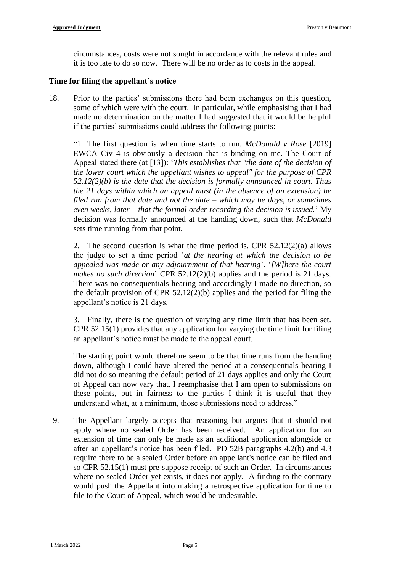circumstances, costs were not sought in accordance with the relevant rules and it is too late to do so now. There will be no order as to costs in the appeal.

## **Time for filing the appellant's notice**

18. Prior to the parties' submissions there had been exchanges on this question, some of which were with the court. In particular, while emphasising that I had made no determination on the matter I had suggested that it would be helpful if the parties' submissions could address the following points:

"1. The first question is when time starts to run. *McDonald v Rose* [2019] EWCA Civ 4 is obviously a decision that is binding on me. The Court of Appeal stated there (at [13]): '*This establishes that "the date of the decision of the lower court which the appellant wishes to appeal" for the purpose of CPR 52.12(2)(b) is the date that the decision is formally announced in court. Thus the 21 days within which an appeal must (in the absence of an extension) be filed run from that date and not the date – which may be days, or sometimes even weeks, later – that the formal order recording the decision is issued.*' My decision was formally announced at the handing down, such that *McDonald* sets time running from that point.

2. The second question is what the time period is. CPR 52.12(2)(a) allows the judge to set a time period '*at the hearing at which the decision to be appealed was made or any adjournment of that hearing*'. '*[W]here the court makes no such direction*' CPR 52.12(2)(b) applies and the period is 21 days. There was no consequentials hearing and accordingly I made no direction, so the default provision of CPR 52.12(2)(b) applies and the period for filing the appellant's notice is 21 days.

3. Finally, there is the question of varying any time limit that has been set. CPR 52.15(1) provides that any application for varying the time limit for filing an appellant's notice must be made to the appeal court.

The starting point would therefore seem to be that time runs from the handing down, although I could have altered the period at a consequentials hearing I did not do so meaning the default period of 21 days applies and only the Court of Appeal can now vary that. I reemphasise that I am open to submissions on these points, but in fairness to the parties I think it is useful that they understand what, at a minimum, those submissions need to address."

19. The Appellant largely accepts that reasoning but argues that it should not apply where no sealed Order has been received. An application for an extension of time can only be made as an additional application alongside or after an appellant's notice has been filed. PD 52B paragraphs 4.2(b) and 4.3 require there to be a sealed Order before an appellant's notice can be filed and so CPR 52.15(1) must pre-suppose receipt of such an Order. In circumstances where no sealed Order yet exists, it does not apply. A finding to the contrary would push the Appellant into making a retrospective application for time to file to the Court of Appeal, which would be undesirable.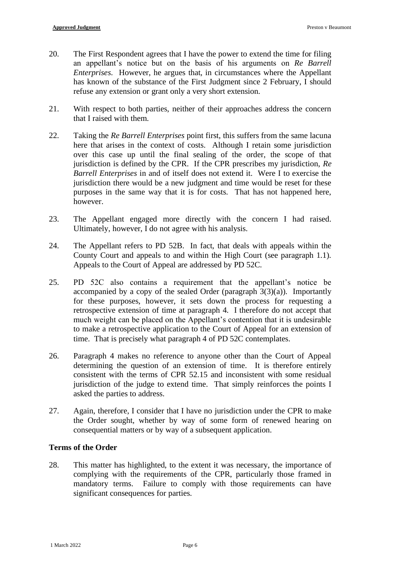- 20. The First Respondent agrees that I have the power to extend the time for filing an appellant's notice but on the basis of his arguments on *Re Barrell Enterprises*. However, he argues that, in circumstances where the Appellant has known of the substance of the First Judgment since 2 February, I should refuse any extension or grant only a very short extension.
- 21. With respect to both parties, neither of their approaches address the concern that I raised with them.
- 22. Taking the *Re Barrell Enterprises* point first, this suffers from the same lacuna here that arises in the context of costs. Although I retain some jurisdiction over this case up until the final sealing of the order, the scope of that jurisdiction is defined by the CPR. If the CPR prescribes my jurisdiction, *Re Barrell Enterprises* in and of itself does not extend it. Were I to exercise the jurisdiction there would be a new judgment and time would be reset for these purposes in the same way that it is for costs. That has not happened here, however.
- 23. The Appellant engaged more directly with the concern I had raised. Ultimately, however, I do not agree with his analysis.
- 24. The Appellant refers to PD 52B. In fact, that deals with appeals within the County Court and appeals to and within the High Court (see paragraph 1.1). Appeals to the Court of Appeal are addressed by PD 52C.
- 25. PD 52C also contains a requirement that the appellant's notice be accompanied by a copy of the sealed Order (paragraph  $3(3)(a)$ ). Importantly for these purposes, however, it sets down the process for requesting a retrospective extension of time at paragraph 4. I therefore do not accept that much weight can be placed on the Appellant's contention that it is undesirable to make a retrospective application to the Court of Appeal for an extension of time. That is precisely what paragraph 4 of PD 52C contemplates.
- 26. Paragraph 4 makes no reference to anyone other than the Court of Appeal determining the question of an extension of time. It is therefore entirely consistent with the terms of CPR 52.15 and inconsistent with some residual jurisdiction of the judge to extend time. That simply reinforces the points I asked the parties to address.
- 27. Again, therefore, I consider that I have no jurisdiction under the CPR to make the Order sought, whether by way of some form of renewed hearing on consequential matters or by way of a subsequent application.

# **Terms of the Order**

28. This matter has highlighted, to the extent it was necessary, the importance of complying with the requirements of the CPR, particularly those framed in mandatory terms. Failure to comply with those requirements can have significant consequences for parties.